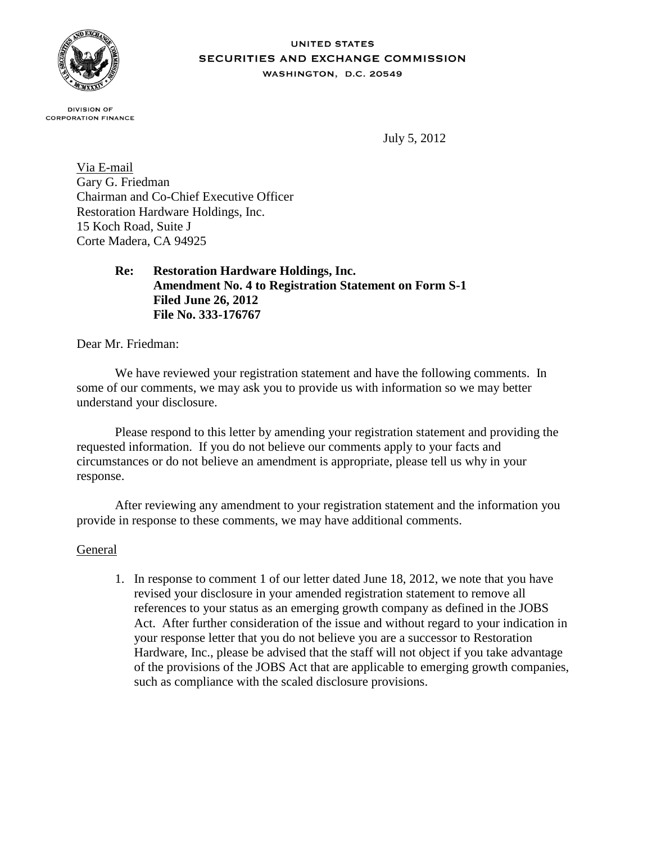

## **UNITED STATES** SECURITIES AND EXCHANGE COMMISSION WASHINGTON, D.C. 20549

**DIVISION OF CORPORATION FINANCE** 

July 5, 2012

Via E-mail Gary G. Friedman Chairman and Co-Chief Executive Officer Restoration Hardware Holdings, Inc. 15 Koch Road, Suite J Corte Madera, CA 94925

> **Re: Restoration Hardware Holdings, Inc. Amendment No. 4 to Registration Statement on Form S-1 Filed June 26, 2012 File No. 333-176767**

Dear Mr. Friedman:

We have reviewed your registration statement and have the following comments. In some of our comments, we may ask you to provide us with information so we may better understand your disclosure.

Please respond to this letter by amending your registration statement and providing the requested information. If you do not believe our comments apply to your facts and circumstances or do not believe an amendment is appropriate, please tell us why in your response.

After reviewing any amendment to your registration statement and the information you provide in response to these comments, we may have additional comments.

## General

1. In response to comment 1 of our letter dated June 18, 2012, we note that you have revised your disclosure in your amended registration statement to remove all references to your status as an emerging growth company as defined in the JOBS Act. After further consideration of the issue and without regard to your indication in your response letter that you do not believe you are a successor to Restoration Hardware, Inc., please be advised that the staff will not object if you take advantage of the provisions of the JOBS Act that are applicable to emerging growth companies, such as compliance with the scaled disclosure provisions.